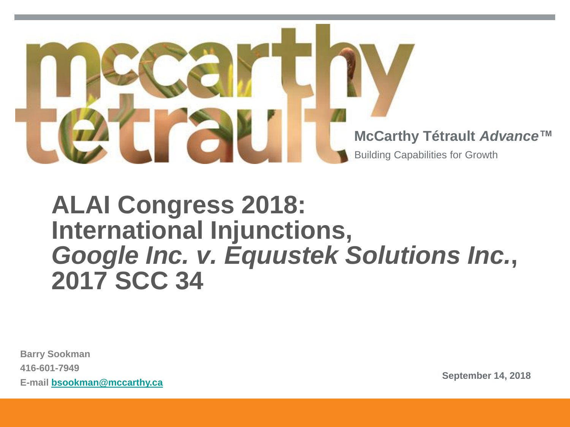

## **ALAI Congress 2018: International Injunctions,** *Google Inc. v. Equustek Solutions Inc.***, 2017 SCC 34**

**Barry Sookman 416-601-7949 E-mail [bsookman@mccarthy.ca](mailto:bsookman@mccarthy.ca) September 14, 2018**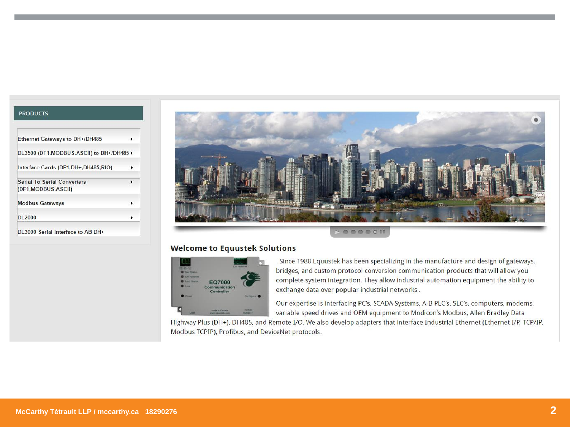#### **PRODUCTS**

| Ethernet Gateways to DH+/DH485                             | ٠ |
|------------------------------------------------------------|---|
| DL3500 (DF1, MODBUS, ASCII) to DH+/DH485 >                 |   |
| Interface Cards (DF1.DH+.DH485.RIO)                        | ١ |
| <b>Serial To Serial Converters</b><br>(DF1, MODBUS, ASCII) | ٠ |
| <b>Modbus Gateways</b>                                     | ٠ |
| DI 2000                                                    | ٠ |
| DL3000-Serial Interface to AB DH+                          |   |



### **Welcome to Equustek Solutions**



Since 1988 Equustek has been specializing in the manufacture and design of gateways, bridges, and custom protocol conversion communication products that will allow you complete system integration. They allow industrial automation equipment the ability to exchange data over popular industrial networks.

Our expertise is interfacing PC's, SCADA Systems, A-B PLC's, SLC's, computers, modems, variable speed drives and OEM equipment to Modicon's Modbus, Allen Bradley Data

Highway Plus (DH+), DH485, and Remote I/O. We also develop adapters that interface Industrial Ethernet (Ethernet I/P, TCP/IP, Modbus TCPIP), Profibus, and DeviceNet protocols.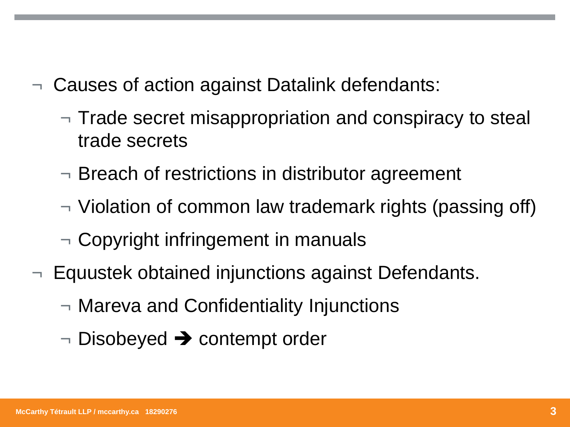- ¬ Causes of action against Datalink defendants:
	- $\neg$  Trade secret misappropriation and conspiracy to steal trade secrets
	- ¬ Breach of restrictions in distributor agreement
	- ¬ Violation of common law trademark rights (passing off)
	- $\neg$  Copyright infringement in manuals
- $\neg$  Equustek obtained injunctions against Defendants.
	- ¬ Mareva and Confidentiality Injunctions
	- ¬ Disobeyed ➔ contempt order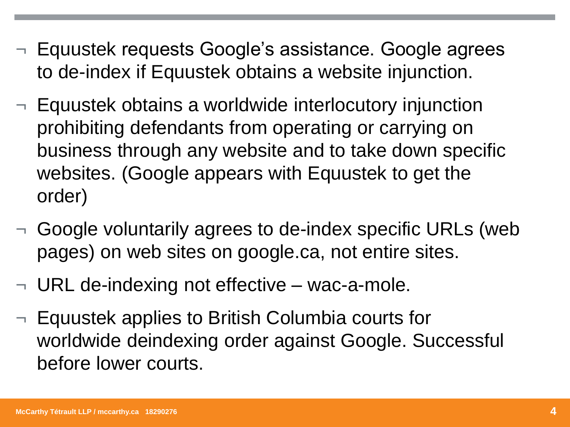- ¬ Equustek requests Google's assistance. Google agrees to de-index if Equustek obtains a website injunction.
- ¬ Equustek obtains a worldwide interlocutory injunction prohibiting defendants from operating or carrying on business through any website and to take down specific websites. (Google appears with Equustek to get the order)
- ¬ Google voluntarily agrees to de-index specific URLs (web pages) on web sites on google.ca, not entire sites.
- $\neg$  URL de-indexing not effective wac-a-mole.
- ¬ Equustek applies to British Columbia courts for worldwide deindexing order against Google. Successful before lower courts.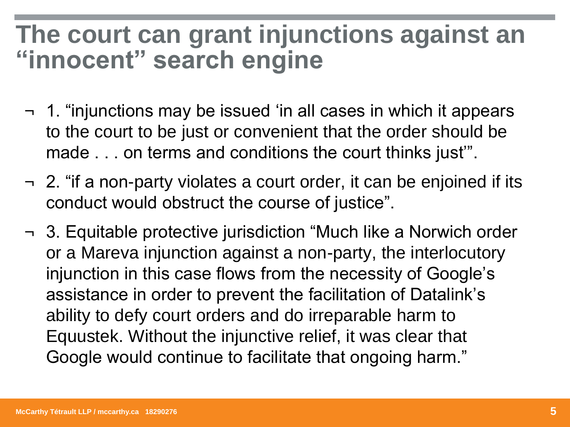## **The court can grant injunctions against an "innocent" search engine**

- ¬ 1. "injunctions may be issued 'in all cases in which it appears to the court to be just or convenient that the order should be made . . . on terms and conditions the court thinks just'".
- $\overline{\phantom{a}}$  2. "if a non-party violates a court order, it can be enjoined if its conduct would obstruct the course of justice".
- ¬ 3. Equitable protective jurisdiction "Much like a Norwich order or a Mareva injunction against a non-party, the interlocutory injunction in this case flows from the necessity of Google's assistance in order to prevent the facilitation of Datalink's ability to defy court orders and do irreparable harm to Equustek. Without the injunctive relief, it was clear that Google would continue to facilitate that ongoing harm."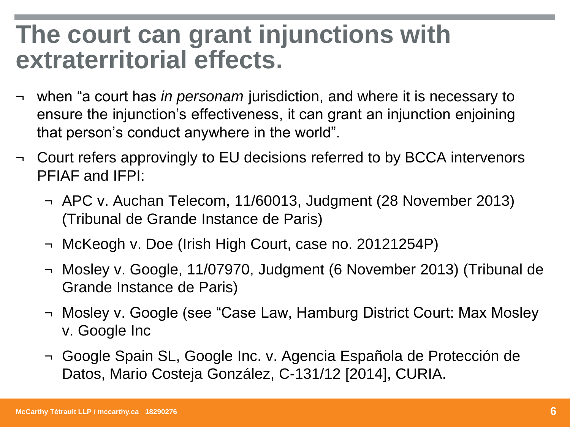## **The court can grant injunctions with extraterritorial effects.**

- ¬ when "a court has *in personam* jurisdiction, and where it is necessary to ensure the injunction's effectiveness, it can grant an injunction enjoining that person's conduct anywhere in the world".
- ¬ Court refers approvingly to EU decisions referred to by BCCA intervenors PFIAF and IFPI:
	- ¬ APC v. Auchan Telecom, 11/60013, Judgment (28 November 2013) (Tribunal de Grande Instance de Paris)
	- ¬ McKeogh v. Doe (Irish High Court, case no. 20121254P)
	- ¬ Mosley v. Google, 11/07970, Judgment (6 November 2013) (Tribunal de Grande Instance de Paris)
	- ¬ Mosley v. Google (see "Case Law, Hamburg District Court: Max Mosley v. Google Inc
	- ¬ Google Spain SL, Google Inc. v. Agencia Española de Protección de Datos, Mario Costeja González, C-131/12 [2014], CURIA.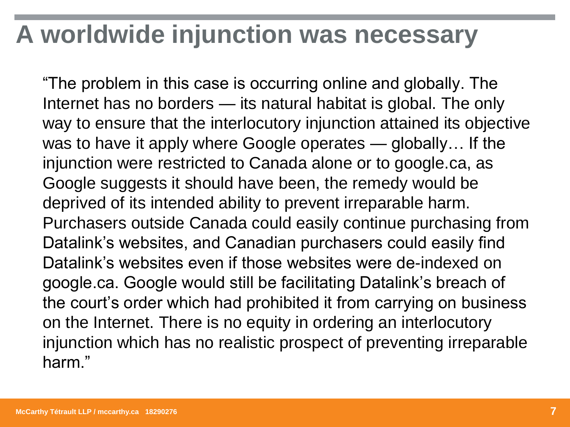## **A worldwide injunction was necessary**

"The problem in this case is occurring online and globally. The Internet has no borders — its natural habitat is global. The only way to ensure that the interlocutory injunction attained its objective was to have it apply where Google operates — globally… If the injunction were restricted to Canada alone or to google.ca, as Google suggests it should have been, the remedy would be deprived of its intended ability to prevent irreparable harm. Purchasers outside Canada could easily continue purchasing from Datalink's websites, and Canadian purchasers could easily find Datalink's websites even if those websites were de-indexed on google.ca. Google would still be facilitating Datalink's breach of the court's order which had prohibited it from carrying on business on the Internet. There is no equity in ordering an interlocutory injunction which has no realistic prospect of preventing irreparable harm."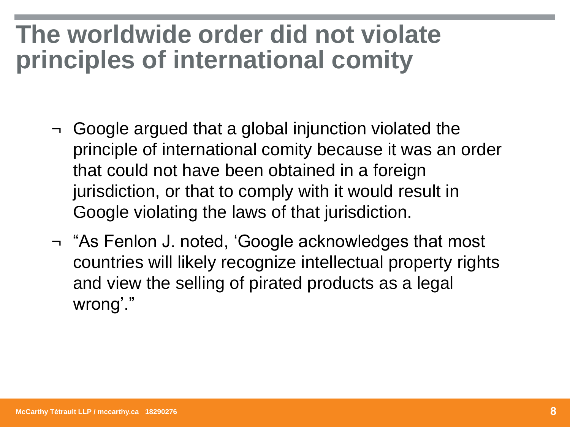## **The worldwide order did not violate principles of international comity**

- ¬ Google argued that a global injunction violated the principle of international comity because it was an order that could not have been obtained in a foreign jurisdiction, or that to comply with it would result in Google violating the laws of that jurisdiction.
- ¬ "As Fenlon J. noted, 'Google acknowledges that most countries will likely recognize intellectual property rights and view the selling of pirated products as a legal wrong'."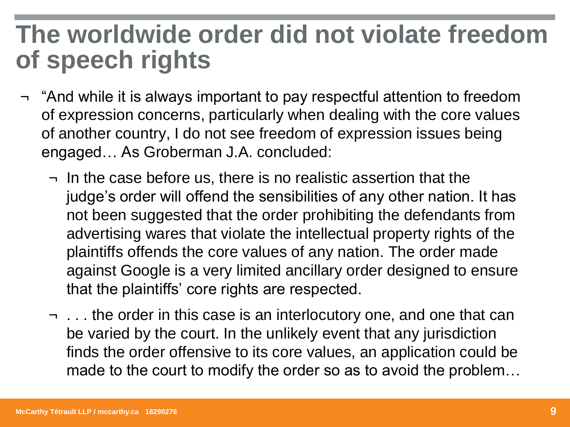## **The worldwide order did not violate freedom of speech rights**

- ¬ "And while it is always important to pay respectful attention to freedom of expression concerns, particularly when dealing with the core values of another country, I do not see freedom of expression issues being engaged… As Groberman J.A. concluded:
	- ¬ In the case before us, there is no realistic assertion that the judge's order will offend the sensibilities of any other nation. It has not been suggested that the order prohibiting the defendants from advertising wares that violate the intellectual property rights of the plaintiffs offends the core values of any nation. The order made against Google is a very limited ancillary order designed to ensure that the plaintiffs' core rights are respected.
	- ¬ . . . the order in this case is an interlocutory one, and one that can be varied by the court. In the unlikely event that any jurisdiction finds the order offensive to its core values, an application could be made to the court to modify the order so as to avoid the problem…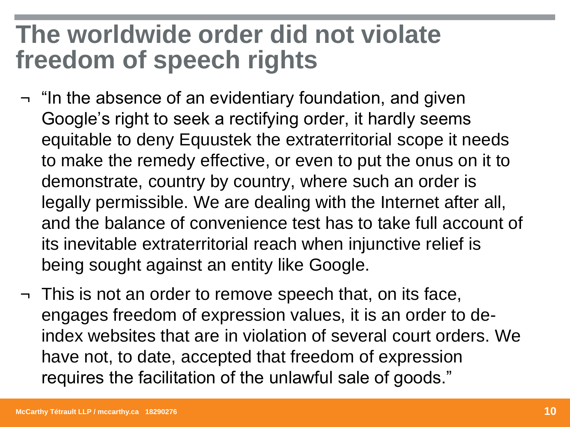## **The worldwide order did not violate freedom of speech rights**

- ¬ "In the absence of an evidentiary foundation, and given Google's right to seek a rectifying order, it hardly seems equitable to deny Equustek the extraterritorial scope it needs to make the remedy effective, or even to put the onus on it to demonstrate, country by country, where such an order is legally permissible. We are dealing with the Internet after all, and the balance of convenience test has to take full account of its inevitable extraterritorial reach when injunctive relief is being sought against an entity like Google.
- ¬ This is not an order to remove speech that, on its face, engages freedom of expression values, it is an order to deindex websites that are in violation of several court orders. We have not, to date, accepted that freedom of expression requires the facilitation of the unlawful sale of goods."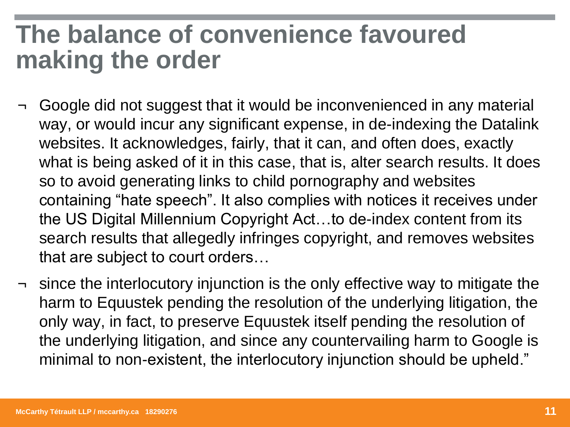## **The balance of convenience favoured making the order**

- Google did not suggest that it would be inconvenienced in any material way, or would incur any significant expense, in de-indexing the Datalink websites. It acknowledges, fairly, that it can, and often does, exactly what is being asked of it in this case, that is, alter search results. It does so to avoid generating links to child pornography and websites containing "hate speech". It also complies with notices it receives under the US Digital Millennium Copyright Act…to de-index content from its search results that allegedly infringes copyright, and removes websites that are subject to court orders…
- ¬ since the interlocutory injunction is the only effective way to mitigate the harm to Equustek pending the resolution of the underlying litigation, the only way, in fact, to preserve Equustek itself pending the resolution of the underlying litigation, and since any countervailing harm to Google is minimal to non-existent, the interlocutory injunction should be upheld."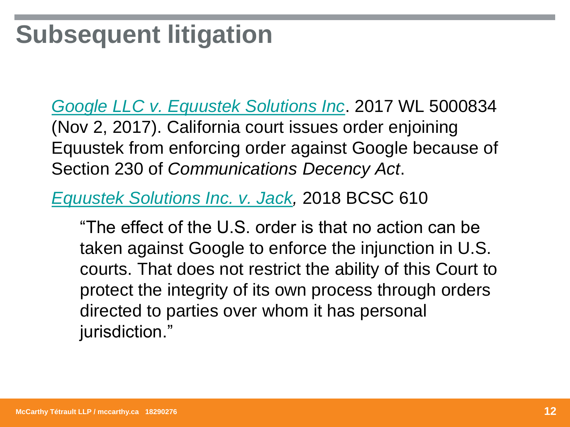# **Subsequent litigation**

*[Google LLC v. Equustek Solutions Inc](https://1.next.westlaw.com/Document/I3dc220b0c06211e7b38a81315a4346f0/View/FullText.html?originationContext=docHeader&contextData=(sc.Default)&transitionType=Document&needToInjectTerms=False&docSource=5e430172e7c84aed8e5988bdf409b409)*. 2017 WL 5000834 (Nov 2, 2017). California court issues order enjoining Equustek from enforcing order against Google because of Section 230 of *Communications Decency Act*.

*Equustek [Solutions Inc. v. Jack,](https://www.canlii.org/en/bc/bcsc/doc/2018/2018bcsc610/2018bcsc610.html?searchUrlHash=AAAAAQAIRXF1dXN0ZWsAAAAAAQ)* 2018 BCSC 610

"The effect of the U.S. order is that no action can be taken against Google to enforce the injunction in U.S. courts. That does not restrict the ability of this Court to protect the integrity of its own process through orders directed to parties over whom it has personal jurisdiction."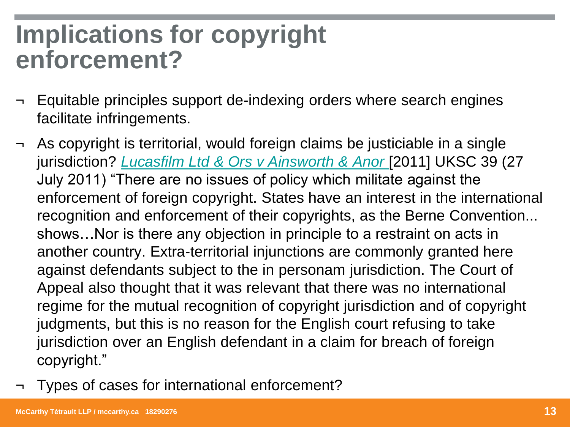## **Implications for copyright enforcement?**

- ¬ Equitable principles support de-indexing orders where search engines facilitate infringements.
- As copyright is territorial, would foreign claims be justiciable in a single jurisdiction? *[Lucasfilm Ltd & Ors](https://www.bailii.org/cgi-bin/format.cgi?doc=/uk/cases/UKSC/2011/39.html&query=(lucasfilm)) v Ainsworth & Anor* [2011] UKSC 39 (27 July 2011) "There are no issues of policy which militate against the enforcement of foreign copyright. States have an interest in the international recognition and enforcement of their copyrights, as the Berne Convention... shows…Nor is there any objection in principle to a restraint on acts in another country. Extra-territorial injunctions are commonly granted here against defendants subject to the in personam jurisdiction. The Court of Appeal also thought that it was relevant that there was no international regime for the mutual recognition of copyright jurisdiction and of copyright judgments, but this is no reason for the English court refusing to take jurisdiction over an English defendant in a claim for breach of foreign copyright."
- ¬ Types of cases for international enforcement?